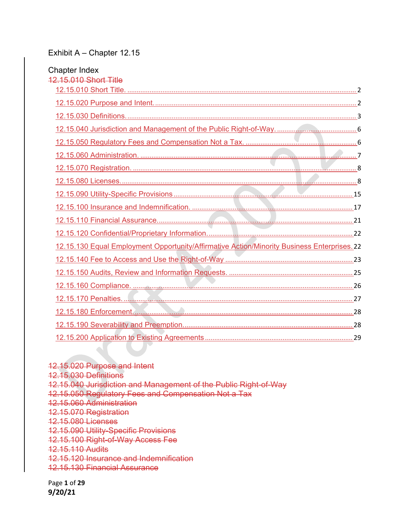#### Exhibit A – Chapter 12.15

| <b>Chapter Index</b><br>12.15.010 Short Title                                               |  |
|---------------------------------------------------------------------------------------------|--|
|                                                                                             |  |
|                                                                                             |  |
|                                                                                             |  |
|                                                                                             |  |
|                                                                                             |  |
|                                                                                             |  |
|                                                                                             |  |
|                                                                                             |  |
|                                                                                             |  |
|                                                                                             |  |
|                                                                                             |  |
|                                                                                             |  |
| 12.15.130 Equal Employment Opportunity/Affirmative Action/Minority Business Enterprises. 22 |  |
|                                                                                             |  |
|                                                                                             |  |
|                                                                                             |  |
|                                                                                             |  |
|                                                                                             |  |
|                                                                                             |  |
|                                                                                             |  |

12.15.020 Purpose and Intent 12.15.030 Definitions 12.15.040 Jurisdiction and Management of the Public Right-of-Way 12.15.050 Regulatory Fees and Compensation Not a Tax 12.15.060 Administration 12.15.070 Registration 12.15.080 Licenses 12.15.090 Utility-Specific Provisions 12.15.100 Right-of-Way Access Fee 12.15.110 Audits 12.15.120 Insurance and Indemnification 12.15.130 Financial Assurance

di d

Page **1** of **29 9/20/21**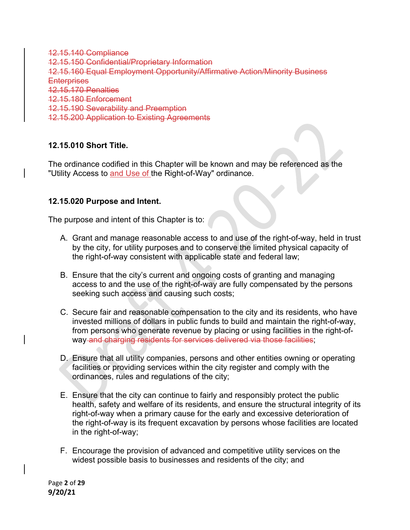12.15.140 Compliance 12.15.150 Confidential/Proprietary Information 12.15.160 Equal Employment Opportunity/Affirmative Action/Minority Business **Enterprises** 12.15.170 Penalties 12.15.180 Enforcement 12.15.190 Severability and Preemption 12.15.200 Application to Existing Agreements

## **12.15.010 Short Title.**

The ordinance codified in this Chapter will be known and may be referenced as the "Utility Access to and Use of the Right-of-Way" ordinance.

#### **12.15.020 Purpose and Intent.**

The purpose and intent of this Chapter is to:

- A. Grant and manage reasonable access to and use of the right-of-way, held in trust by the city, for utility purposes and to conserve the limited physical capacity of the right-of-way consistent with applicable state and federal law;
- B. Ensure that the city's current and ongoing costs of granting and managing access to and the use of the right-of-way are fully compensated by the persons seeking such access and causing such costs;
- C. Secure fair and reasonable compensation to the city and its residents, who have invested millions of dollars in public funds to build and maintain the right-of-way, from persons who generate revenue by placing or using facilities in the right-ofway and charging residents for services delivered via those facilities;
- D. Ensure that all utility companies, persons and other entities owning or operating facilities or providing services within the city register and comply with the ordinances, rules and regulations of the city;
- E. Ensure that the city can continue to fairly and responsibly protect the public health, safety and welfare of its residents, and ensure the structural integrity of its right-of-way when a primary cause for the early and excessive deterioration of the right-of-way is its frequent excavation by persons whose facilities are located in the right-of-way;
- F. Encourage the provision of advanced and competitive utility services on the widest possible basis to businesses and residents of the city; and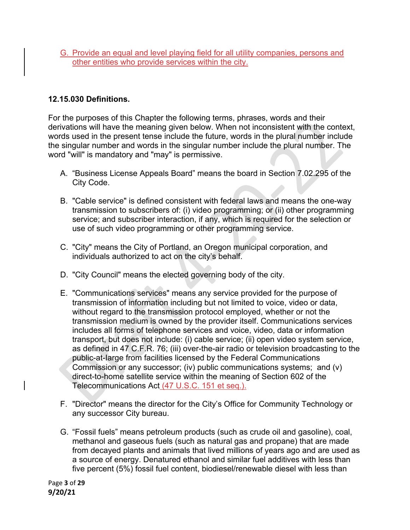G. Provide an equal and level playing field for all utility companies, persons and other entities who provide services within the city.

### **12.15.030 Definitions.**

For the purposes of this Chapter the following terms, phrases, words and their derivations will have the meaning given below. When not inconsistent with the context, words used in the present tense include the future, words in the plural number include the singular number and words in the singular number include the plural number. The word "will" is mandatory and "may" is permissive.

- A. "Business License Appeals Board" means the board in Section 7.02.295 of the City Code.
- B. "Cable service" is defined consistent with federal laws and means the one-way transmission to subscribers of: (i) video programming; or (ii) other programming service; and subscriber interaction, if any, which is required for the selection or use of such video programming or other programming service.
- C. "City" means the City of Portland, an Oregon municipal corporation, and individuals authorized to act on the city's behalf.
- D. "City Council" means the elected governing body of the city.
- E. "Communications services" means any service provided for the purpose of transmission of information including but not limited to voice, video or data, without regard to the transmission protocol employed, whether or not the transmission medium is owned by the provider itself. Communications services includes all forms of telephone services and voice, video, data or information transport, but does not include: (i) cable service; (ii) open video system service, as defined in 47 C.F.R. 76; (iii) over-the-air radio or television broadcasting to the public-at-Iarge from facilities licensed by the Federal Communications Commission or any successor; (iv) public communications systems; and (v) direct-to-home satellite service within the meaning of Section 602 of the Telecommunications Act (47 U.S.C. 151 et seq.).
- F. "Director" means the director for the City's Office for Community Technology or any successor City bureau.
- G. "Fossil fuels" means petroleum products (such as crude oil and gasoline), coal, methanol and gaseous fuels (such as natural gas and propane) that are made from decayed plants and animals that lived millions of years ago and are used as a source of energy. Denatured ethanol and similar fuel additives with less than five percent (5%) fossil fuel content, biodiesel/renewable diesel with less than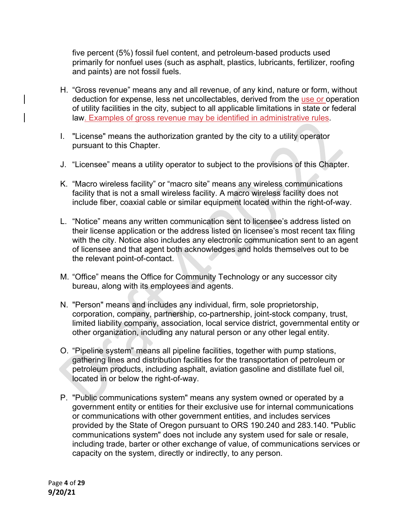five percent (5%) fossil fuel content, and petroleum-based products used primarily for nonfuel uses (such as asphalt, plastics, lubricants, fertilizer, roofing and paints) are not fossil fuels.

- H. "Gross revenue" means any and all revenue, of any kind, nature or form, without deduction for expense, less net uncollectables, derived from the use or operation of utility facilities in the city, subject to all applicable limitations in state or federal law. Examples of gross revenue may be identified in administrative rules.
- I. "License" means the authorization granted by the city to a utility operator pursuant to this Chapter.
- J. "Licensee" means a utility operator to subject to the provisions of this Chapter.
- K. "Macro wireless facility" or "macro site" means any wireless communications facility that is not a small wireless facility. A macro wireless facility does not include fiber, coaxial cable or similar equipment located within the right-of-way.
- L. "Notice" means any written communication sent to licensee's address listed on their license application or the address listed on licensee's most recent tax filing with the city. Notice also includes any electronic communication sent to an agent of licensee and that agent both acknowledges and holds themselves out to be the relevant point-of-contact.
- M. "Office" means the Office for Community Technology or any successor city bureau, along with its employees and agents.
- N. "Person" means and includes any individual, firm, sole proprietorship, corporation, company, partnership, co-partnership, joint-stock company, trust, limited liability company, association, local service district, governmental entity or other organization, including any natural person or any other legal entity.
- O. "Pipeline system" means all pipeline facilities, together with pump stations, gathering lines and distribution facilities for the transportation of petroleum or petroleum products, including asphalt, aviation gasoline and distillate fuel oil, located in or below the right-of-way.
- P. "Public communications system" means any system owned or operated by a government entity or entities for their exclusive use for internal communications or communications with other government entities, and includes services provided by the State of Oregon pursuant to ORS 190.240 and 283.140. "Public communications system" does not include any system used for sale or resale, including trade, barter or other exchange of value, of communications services or capacity on the system, directly or indirectly, to any person.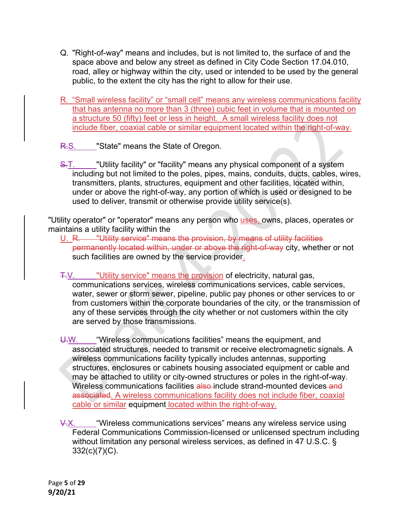- Q. "Right-of-way" means and includes, but is not limited to, the surface of and the space above and below any street as defined in City Code Section 17.04.010, road, alley or highway within the city, used or intended to be used by the general public, to the extent the city has the right to allow for their use.
- R. "Small wireless facility" or "small cell" means any wireless communications facility that has antenna no more than 3 (three) cubic feet in volume that is mounted on a structure 50 (fifty) feet or less in height. A small wireless facility does not include fiber, coaxial cable or similar equipment located within the right-of-way.
- R.S. "State" means the State of Oregon.
- S.T. "Utility facility" or "facility" means any physical component of a system including but not limited to the poles, pipes, mains, conduits, ducts, cables, wires, transmitters, plants, structures, equipment and other facilities, located within, under or above the right-of-way, any portion of which is used or designed to be used to deliver, transmit or otherwise provide utility service(s).

"Utility operator" or "operator" means any person who uses, owns, places, operates or maintains a utility facility within the

- U. R. "Utility service" means the provision, by means of utility facilities permanently located within, under or above the right-of-way city, whether or not such facilities are owned by the service provider.
- T.V. "Utility service" means the provision of electricity, natural gas, communications services, wireless communications services, cable services, water, sewer or storm sewer, pipeline, public pay phones or other services to or from customers within the corporate boundaries of the city, or the transmission of any of these services through the city whether or not customers within the city are served by those transmissions.
- U.W. "Wireless communications facilities" means the equipment, and associated structures, needed to transmit or receive electromagnetic signals. A wireless communications facility typically includes antennas, supporting structures, enclosures or cabinets housing associated equipment or cable and may be attached to utility or city-owned structures or poles in the right-of-way. Wireless communications facilities also include strand-mounted devices and associated. A wireless communications facility does not include fiber, coaxial cable or similar equipment located within the right-of-way.
- V.X. "Wireless communications services" means any wireless service using Federal Communications Commission-licensed or unlicensed spectrum including without limitation any personal wireless services, as defined in 47 U.S.C. § 332(c)(7)(C).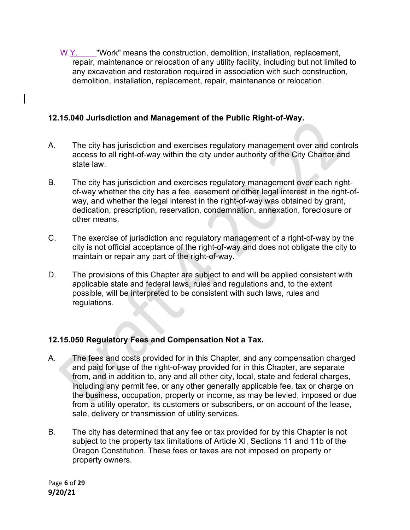W.Y. "Work" means the construction, demolition, installation, replacement, repair, maintenance or relocation of any utility facility, including but not limited to any excavation and restoration required in association with such construction, demolition, installation, replacement, repair, maintenance or relocation.

## **12.15.040 Jurisdiction and Management of the Public Right-of-Way.**

- A. The city has jurisdiction and exercises regulatory management over and controls access to all right-of-way within the city under authority of the City Charter and state law.
- B. The city has jurisdiction and exercises regulatory management over each rightof-way whether the city has a fee, easement or other legal interest in the right-ofway, and whether the legal interest in the right-of-way was obtained by grant, dedication, prescription, reservation, condemnation, annexation, foreclosure or other means.
- C. The exercise of jurisdiction and regulatory management of a right-of-way by the city is not official acceptance of the right-of-way and does not obligate the city to maintain or repair any part of the right-of-way.
- D. The provisions of this Chapter are subject to and will be applied consistent with applicable state and federal laws, rules and regulations and, to the extent possible, will be interpreted to be consistent with such laws, rules and regulations.

# **12.15.050 Regulatory Fees and Compensation Not a Tax.**

- A. The fees and costs provided for in this Chapter, and any compensation charged and paid for use of the right-of-way provided for in this Chapter, are separate from, and in addition to, any and all other city, local, state and federal charges, including any permit fee, or any other generally applicable fee, tax or charge on the business, occupation, property or income, as may be levied, imposed or due from a utility operator, its customers or subscribers, or on account of the lease, sale, delivery or transmission of utility services.
- B. The city has determined that any fee or tax provided for by this Chapter is not subject to the property tax limitations of Article XI, Sections 11 and 11b of the Oregon Constitution. These fees or taxes are not imposed on property or property owners.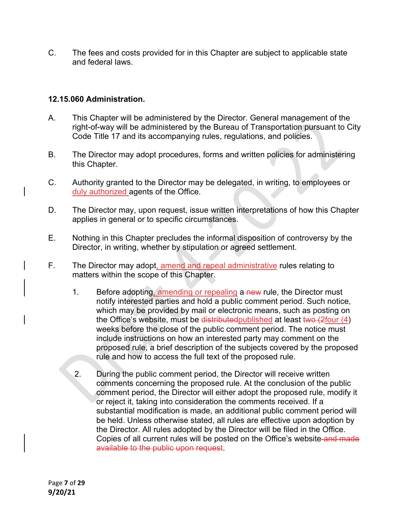C. The fees and costs provided for in this Chapter are subject to applicable state and federal laws.

## **12.15.060 Administration.**

- A. This Chapter will be administered by the Director. General management of the right-of-way will be administered by the Bureau of Transportation pursuant to City Code Title 17 and its accompanying rules, regulations, and policies.
- B. The Director may adopt procedures, forms and written policies for administering this Chapter.
- C. Authority granted to the Director may be delegated, in writing, to employees or duly authorized agents of the Office.
- D. The Director may, upon request, issue written interpretations of how this Chapter applies in general or to specific circumstances.
- E. Nothing in this Chapter precludes the informal disposition of controversy by the Director, in writing, whether by stipulation or agreed settlement.
- F. The Director may adopt, amend and repeal administrative rules relating to matters within the scope of this Chapter.
	- 1. Before adopting, amending or repealing a new rule, the Director must notify interested parties and hold a public comment period. Such notice, which may be provided by mail or electronic means, such as posting on the Office's website, must be distributed published at least two  $(2$  four  $(4)$ weeks before the close of the public comment period. The notice must include instructions on how an interested party may comment on the proposed rule, a brief description of the subjects covered by the proposed rule and how to access the full text of the proposed rule.
	- 2. During the public comment period, the Director will receive written comments concerning the proposed rule. At the conclusion of the public comment period, the Director will either adopt the proposed rule, modify it or reject it, taking into consideration the comments received. If a substantial modification is made, an additional public comment period will be held. Unless otherwise stated, all rules are effective upon adoption by the Director. All rules adopted by the Director will be filed in the Office. Copies of all current rules will be posted on the Office's website and made available to the public upon request.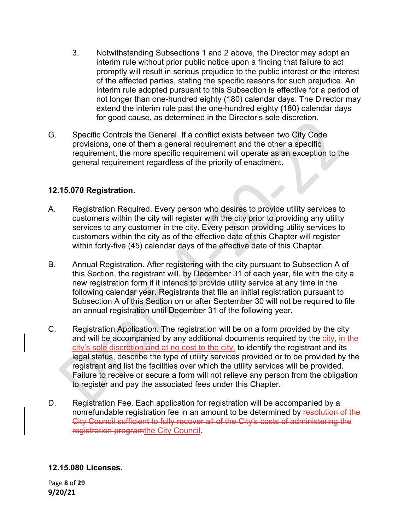- 3. Notwithstanding Subsections 1 and 2 above, the Director may adopt an interim rule without prior public notice upon a finding that failure to act promptly will result in serious prejudice to the public interest or the interest of the affected parties, stating the specific reasons for such prejudice. An interim rule adopted pursuant to this Subsection is effective for a period of not longer than one-hundred eighty (180) calendar days. The Director may extend the interim rule past the one-hundred eighty (180) calendar days for good cause, as determined in the Director's sole discretion.
- G. Specific Controls the General. If a conflict exists between two City Code provisions, one of them a general requirement and the other a specific requirement, the more specific requirement will operate as an exception to the general requirement regardless of the priority of enactment.

#### **12.15.070 Registration.**

- A. Registration Required. Every person who desires to provide utility services to customers within the city will register with the city prior to providing any utility services to any customer in the city. Every person providing utility services to customers within the city as of the effective date of this Chapter will register within forty-five (45) calendar days of the effective date of this Chapter.
- B. Annual Registration. After registering with the city pursuant to Subsection A of this Section, the registrant will, by December 31 of each year, file with the city a new registration form if it intends to provide utility service at any time in the following calendar year. Registrants that file an initial registration pursuant to Subsection A of this Section on or after September 30 will not be required to file an annual registration until December 31 of the following year.
- C. Registration Application. The registration will be on a form provided by the city and will be accompanied by any additional documents required by the city, in the city's sole discretion and at no cost to the city, to identify the registrant and its legal status, describe the type of utility services provided or to be provided by the registrant and list the facilities over which the utility services will be provided. Failure to receive or secure a form will not relieve any person from the obligation to register and pay the associated fees under this Chapter.
- D. Registration Fee. Each application for registration will be accompanied by a nonrefundable registration fee in an amount to be determined by resolution of the City Council sufficient to fully recover all of the City's costs of administering the registration programthe City Council.

## **12.15.080 Licenses.**

Page **8** of **29 9/20/21**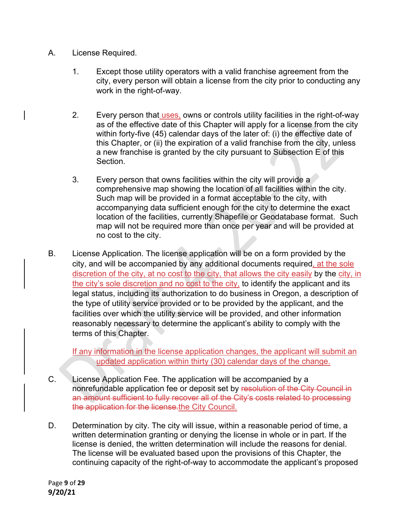- A. License Required.
	- 1. Except those utility operators with a valid franchise agreement from the city, every person will obtain a license from the city prior to conducting any work in the right-of-way.
	- 2. Every person that uses, owns or controls utility facilities in the right-of-way as of the effective date of this Chapter will apply for a license from the city within forty-five (45) calendar days of the later of: (i) the effective date of this Chapter, or (ii) the expiration of a valid franchise from the city, unless a new franchise is granted by the city pursuant to Subsection E of this Section.
	- 3. Every person that owns facilities within the city will provide a comprehensive map showing the location of all facilities within the city. Such map will be provided in a format acceptable to the city, with accompanying data sufficient enough for the city to determine the exact location of the facilities, currently Shapefile or Geodatabase format. Such map will not be required more than once per year and will be provided at no cost to the city.
- B. License Application. The license application will be on a form provided by the city, and will be accompanied by any additional documents required, at the sole discretion of the city, at no cost to the city, that allows the city easily by the city, in the city's sole discretion and no cost to the city, to identify the applicant and its legal status, including its authorization to do business in Oregon, a description of the type of utility service provided or to be provided by the applicant, and the facilities over which the utility service will be provided, and other information reasonably necessary to determine the applicant's ability to comply with the terms of this Chapter.

If any information in the license application changes, the applicant will submit an updated application within thirty (30) calendar days of the change.

- C. License Application Fee. The application will be accompanied by a nonrefundable application fee or deposit set by resolution of the City Council in an amount sufficient to fully recover all of the City's costs related to processing the application for the license.the City Council.
- D. Determination by city. The city will issue, within a reasonable period of time, a written determination granting or denying the license in whole or in part. If the license is denied, the written determination will include the reasons for denial. The license will be evaluated based upon the provisions of this Chapter, the continuing capacity of the right-of-way to accommodate the applicant's proposed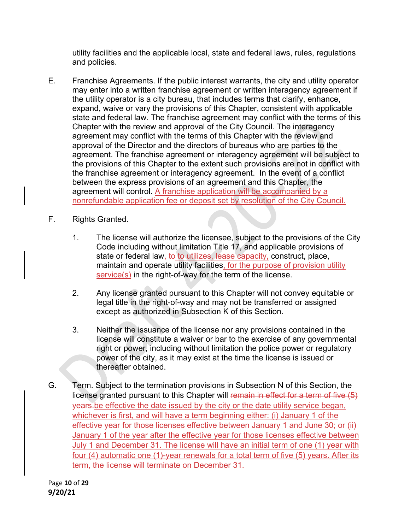utility facilities and the applicable local, state and federal laws, rules, regulations and policies.

- E. Franchise Agreements. If the public interest warrants, the city and utility operator may enter into a written franchise agreement or written interagency agreement if the utility operator is a city bureau, that includes terms that clarify, enhance, expand, waive or vary the provisions of this Chapter, consistent with applicable state and federal law. The franchise agreement may conflict with the terms of this Chapter with the review and approval of the City Council. The interagency agreement may conflict with the terms of this Chapter with the review and approval of the Director and the directors of bureaus who are parties to the agreement. The franchise agreement or interagency agreement will be subject to the provisions of this Chapter to the extent such provisions are not in conflict with the franchise agreement or interagency agreement. In the event of a conflict between the express provisions of an agreement and this Chapter, the agreement will control. A franchise application will be accompanied by a nonrefundable application fee or deposit set by resolution of the City Council.
- F. Rights Granted.
	- 1. The license will authorize the licensee, subject to the provisions of the City Code including without limitation Title 17, and applicable provisions of state or federal law, to to utilizes, lease capacity, construct, place, maintain and operate utility facilities, for the purpose of provision utility service(s) in the right-of-way for the term of the license.
	- 2. Any license granted pursuant to this Chapter will not convey equitable or legal title in the right-of-way and may not be transferred or assigned except as authorized in Subsection K of this Section.
	- 3. Neither the issuance of the license nor any provisions contained in the license will constitute a waiver or bar to the exercise of any governmental right or power, including without limitation the police power or regulatory power of the city, as it may exist at the time the license is issued or thereafter obtained.
- G. Term. Subject to the termination provisions in Subsection N of this Section, the license granted pursuant to this Chapter will remain in effect for a term of five (5) years.be effective the date issued by the city or the date utility service began, whichever is first, and will have a term beginning either: (i) January 1 of the effective year for those licenses effective between January 1 and June 30; or (ii) January 1 of the year after the effective year for those licenses effective between July 1 and December 31. The license will have an initial term of one (1) year with four (4) automatic one (1)-year renewals for a total term of five (5) years. After its term, the license will terminate on December 31.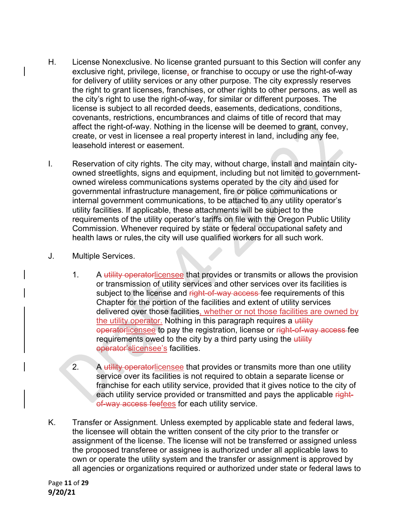- H. License Nonexclusive. No license granted pursuant to this Section will confer any exclusive right, privilege, license, or franchise to occupy or use the right-of-way for delivery of utility services or any other purpose. The city expressly reserves the right to grant licenses, franchises, or other rights to other persons, as well as the city's right to use the right-of-way, for similar or different purposes. The license is subject to all recorded deeds, easements, dedications, conditions, covenants, restrictions, encumbrances and claims of title of record that may affect the right-of-way. Nothing in the license will be deemed to grant, convey, create, or vest in licensee a real property interest in land, including any fee, leasehold interest or easement.
- I. Reservation of city rights. The city may, without charge, install and maintain cityowned streetlights, signs and equipment, including but not limited to governmentowned wireless communications systems operated by the city and used for governmental infrastructure management, fire or police communications or internal government communications, to be attached to any utility operator's utility facilities. If applicable, these attachments will be subject to the requirements of the utility operator's tariffs on file with the Oregon Public Utility Commission. Whenever required by state or federal occupational safety and health laws or rules, the city will use qualified workers for all such work.
- J. Multiple Services.
	- 1. A utility operatorlicensee that provides or transmits or allows the provision or transmission of utility services and other services over its facilities is subject to the license and right-of-way access fee requirements of this Chapter for the portion of the facilities and extent of utility services delivered over those facilities, whether or not those facilities are owned by the utility operator. Nothing in this paragraph requires a utility operatorlicensee to pay the registration, license or right-of-way access-fee requirements owed to the city by a third party using the utility operator'slicensee's facilities.
	- 2. A utility operatorlicensee that provides or transmits more than one utility service over its facilities is not required to obtain a separate license or franchise for each utility service, provided that it gives notice to the city of each utility service provided or transmitted and pays the applicable rightof-way access feefees for each utility service.
- K. Transfer or Assignment. Unless exempted by applicable state and federal laws, the licensee will obtain the written consent of the city prior to the transfer or assignment of the license. The license will not be transferred or assigned unless the proposed transferee or assignee is authorized under all applicable laws to own or operate the utility system and the transfer or assignment is approved by all agencies or organizations required or authorized under state or federal laws to

Page **11** of **29 9/20/21**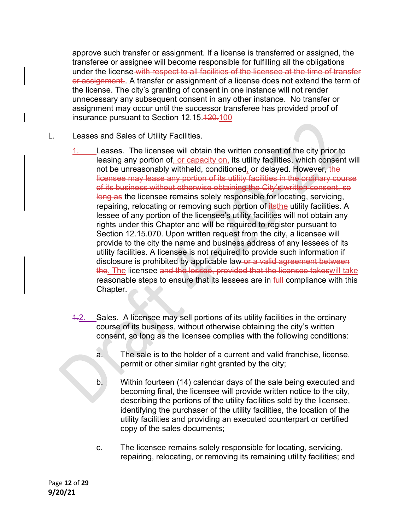approve such transfer or assignment. If a license is transferred or assigned, the transferee or assignee will become responsible for fulfilling all the obligations under the license with respect to all facilities of the licensee at the time of transfer or assignment. A transfer or assignment of a license does not extend the term of the license. The city's granting of consent in one instance will not render unnecessary any subsequent consent in any other instance. No transfer or assignment may occur until the successor transferee has provided proof of insurance pursuant to Section 12.15.420.100

L. Leases and Sales of Utility Facilities.

Leases. The licensee will obtain the written consent of the city prior to leasing any portion of, or capacity on, its utility facilities, which consent will not be unreasonably withheld, conditioned, or delayed. However, the licensee may lease any portion of its utility facilities in the ordinary course of its business without otherwise obtaining the City's written consent, so long as the licensee remains solely responsible for locating, servicing, repairing, relocating or removing such portion of *itsthe* utility facilities. A lessee of any portion of the licensee's utility facilities will not obtain any rights under this Chapter and will be required to register pursuant to Section 12.15.070. Upon written request from the city, a licensee will provide to the city the name and business address of any lessees of its utility facilities. A licensee is not required to provide such information if disclosure is prohibited by applicable law or a valid agreement between the. The licensee and the lessee, provided that the licensee takeswill take reasonable steps to ensure that its lessees are in full compliance with this Chapter.

- 1.2. Sales. A licensee may sell portions of its utility facilities in the ordinary course of its business, without otherwise obtaining the city's written consent, so long as the licensee complies with the following conditions:
	- a. The sale is to the holder of a current and valid franchise, license, permit or other similar right granted by the city;
	- b. Within fourteen (14) calendar days of the sale being executed and becoming final, the licensee will provide written notice to the city, describing the portions of the utility facilities sold by the licensee, identifying the purchaser of the utility facilities, the location of the utility facilities and providing an executed counterpart or certified copy of the sales documents;
	- c. The licensee remains solely responsible for locating, servicing, repairing, relocating, or removing its remaining utility facilities; and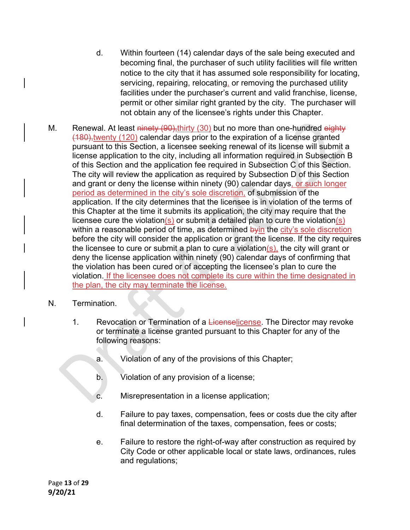- d. Within fourteen (14) calendar days of the sale being executed and becoming final, the purchaser of such utility facilities will file written notice to the city that it has assumed sole responsibility for locating, servicing, repairing, relocating, or removing the purchased utility facilities under the purchaser's current and valid franchise, license, permit or other similar right granted by the city. The purchaser will not obtain any of the licensee's rights under this Chapter.
- M. Renewal. At least ninety (90), thirty (30) but no more than one-hundred eighty (180),twenty (120) calendar days prior to the expiration of a license granted pursuant to this Section, a licensee seeking renewal of its license will submit a license application to the city, including all information required in Subsection B of this Section and the application fee required in Subsection C of this Section. The city will review the application as required by Subsection D of this Section and grant or deny the license within ninety (90) calendar days, or such longer period as determined in the city's sole discretion, of submission of the application. If the city determines that the licensee is in violation of the terms of this Chapter at the time it submits its application, the city may require that the licensee cure the violation(s) or submit a detailed plan to cure the violation(s) within a reasonable period of time, as determined by in the city's sole discretion before the city will consider the application or grant the license. If the city requires the licensee to cure or submit a plan to cure a violation(s), the city will grant or deny the license application within ninety (90) calendar days of confirming that the violation has been cured or of accepting the licensee's plan to cure the violation. If the licensee does not complete its cure within the time designated in the plan, the city may terminate the license.
- N. Termination.
	- 1. Revocation or Termination of a Licenselicense. The Director may revoke or terminate a license granted pursuant to this Chapter for any of the following reasons:
		- a. Violation of any of the provisions of this Chapter;
		- b. Violation of any provision of a license;
		- c. Misrepresentation in a license application;
		- d. Failure to pay taxes, compensation, fees or costs due the city after final determination of the taxes, compensation, fees or costs;
		- e. Failure to restore the right-of-way after construction as required by City Code or other applicable local or state laws, ordinances, rules and regulations;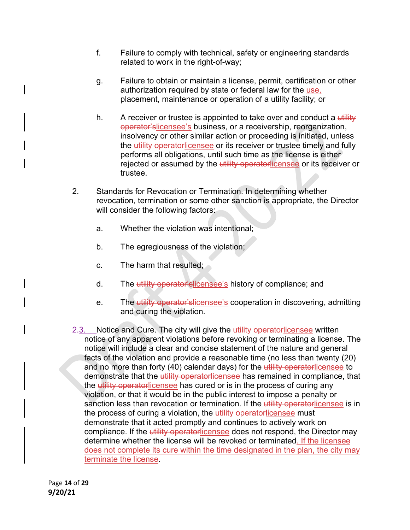- f. Failure to comply with technical, safety or engineering standards related to work in the right-of-way;
- g. Failure to obtain or maintain a license, permit, certification or other authorization required by state or federal law for the use, placement, maintenance or operation of a utility facility; or
- h. A receiver or trustee is appointed to take over and conduct a  $\frac{d}{dx}$ operator'slicensee's business, or a receivership, reorganization, insolvency or other similar action or proceeding is initiated, unless the utility operatorlicensee or its receiver or trustee timely and fully performs all obligations, until such time as the license is either rejected or assumed by the utility operatorlicensee or its receiver or trustee.
- 2. Standards for Revocation or Termination. In determining whether revocation, termination or some other sanction is appropriate, the Director will consider the following factors:
	- a. Whether the violation was intentional;
	- b. The egregiousness of the violation;
	- c. The harm that resulted;
	- d. The utility operator'slicensee's history of compliance; and
	- e. The utility operator'slicensee's cooperation in discovering, admitting and curing the violation.
- 2.3. Notice and Cure. The city will give the utility operatorlicensee written notice of any apparent violations before revoking or terminating a license. The notice will include a clear and concise statement of the nature and general facts of the violation and provide a reasonable time (no less than twenty (20) and no more than forty (40) calendar days) for the utility operatorlicensee to demonstrate that the *utility operatorlicensee* has remained in compliance, that the utility operatorlicensee has cured or is in the process of curing any violation, or that it would be in the public interest to impose a penalty or sanction less than revocation or termination. If the utility operatorlicensee is in the process of curing a violation, the utility operatorlicensee must demonstrate that it acted promptly and continues to actively work on compliance. If the utility operatorlicensee does not respond, the Director may determine whether the license will be revoked or terminated. If the licensee does not complete its cure within the time designated in the plan, the city may terminate the license.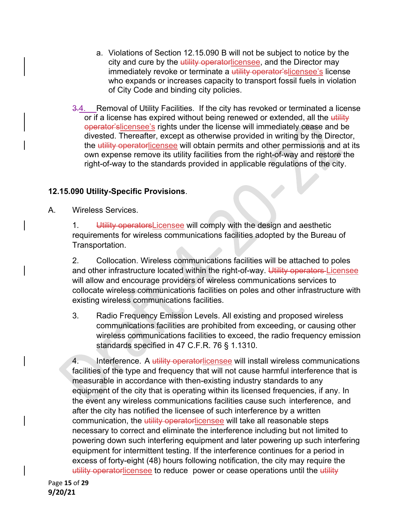- a. Violations of Section 12.15.090 B will not be subject to notice by the city and cure by the utility operatorlicensee, and the Director may immediately revoke or terminate a utility operator'slicensee's license who expands or increases capacity to transport fossil fuels in violation of City Code and binding city policies.
- 3.4. Removal of Utility Facilities. If the city has revoked or terminated a license or if a license has expired without being renewed or extended, all the utility operator'slicensee's rights under the license will immediately cease and be divested. Thereafter, except as otherwise provided in writing by the Director, the utility operatorlicensee will obtain permits and other permissions and at its own expense remove its utility facilities from the right-of-way and restore the right-of-way to the standards provided in applicable regulations of the city.

# **12.15.090 Utility-Specific Provisions**.

A. Wireless Services.

1. Utility operators Licensee will comply with the design and aesthetic requirements for wireless communications facilities adopted by the Bureau of Transportation.

2. Collocation. Wireless communications facilities will be attached to poles and other infrastructure located within the right-of-way. Utility operators Licensee will allow and encourage providers of wireless communications services to collocate wireless communications facilities on poles and other infrastructure with existing wireless communications facilities.

 3. Radio Frequency Emission Levels. All existing and proposed wireless communications facilities are prohibited from exceeding, or causing other wireless communications facilities to exceed, the radio frequency emission standards specified in 47 C.F.R. 76 § 1.1310.

4. Interference. A utility operatorlicensee will install wireless communications facilities of the type and frequency that will not cause harmful interference that is measurable in accordance with then-existing industry standards to any equipment of the city that is operating within its licensed frequencies, if any. In the event any wireless communications facilities cause such interference, and after the city has notified the licensee of such interference by a written communication, the utility operatorlicensee will take all reasonable steps necessary to correct and eliminate the interference including but not limited to powering down such interfering equipment and later powering up such interfering equipment for intermittent testing. If the interference continues for a period in excess of forty-eight (48) hours following notification, the city may require the utility operatorlicensee to reduce power or cease operations until the utility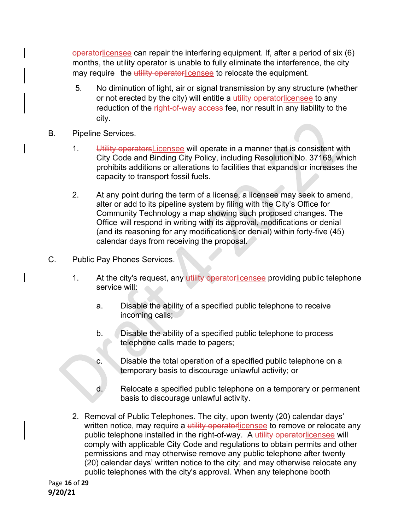operatorlicensee can repair the interfering equipment. If, after a period of six (6) months, the utility operator is unable to fully eliminate the interference, the city may require the utility operatorlicensee to relocate the equipment.

- 5. No diminution of light, air or signal transmission by any structure (whether or not erected by the city) will entitle a utility operatorlicensee to any reduction of the right-of-way access fee, nor result in any liability to the city.
- B. Pipeline Services.
	- 1. Utility operators Licensee will operate in a manner that is consistent with City Code and Binding City Policy, including Resolution No. 37168, which prohibits additions or alterations to facilities that expands or increases the capacity to transport fossil fuels.
	- 2. At any point during the term of a license, a licensee may seek to amend, alter or add to its pipeline system by filing with the City's Office for Community Technology a map showing such proposed changes. The Office will respond in writing with its approval, modifications or denial (and its reasoning for any modifications or denial) within forty-five (45) calendar days from receiving the proposal.
- C. Public Pay Phones Services.
	- 1. At the city's request, any utility operatorlicensee providing public telephone service will:
		- a. Disable the ability of a specified public telephone to receive incoming calls;
		- b. Disable the ability of a specified public telephone to process telephone calls made to pagers;
		- c. Disable the total operation of a specified public telephone on a temporary basis to discourage unlawful activity; or
		- d. Relocate a specified public telephone on a temporary or permanent basis to discourage unlawful activity.
	- 2. Removal of Public Telephones. The city, upon twenty (20) calendar days' written notice, may require a utility operatorlicensee to remove or relocate any public telephone installed in the right-of-way. A utility operatorlicensee will comply with applicable City Code and regulations to obtain permits and other permissions and may otherwise remove any public telephone after twenty (20) calendar days' written notice to the city; and may otherwise relocate any public telephones with the city's approval. When any telephone booth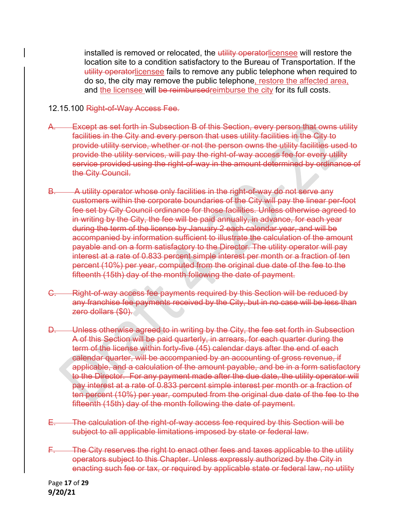installed is removed or relocated, the utility operatorlicensee will restore the location site to a condition satisfactory to the Bureau of Transportation. If the utility operatorlicensee fails to remove any public telephone when required to do so, the city may remove the public telephone, restore the affected area, and the licensee will be reimbursedreimburse the city for its full costs.

- 12.15.100 Right-of-Way Access Fee.
- Except as set forth in Subsection B of this Section, every person that owns utility facilities in the City and every person that uses utility facilities in the City to provide utility service, whether or not the person owns the utility facilities used to provide the utility services, will pay the right-of-way access fee for every utility service provided using the right-of-way in the amount determined by ordinance of the City Council.
- B. A utility operator whose only facilities in the right-of-way do not serve any customers within the corporate boundaries of the City will pay the linear per-foot fee set by City Council ordinance for those facilities. Unless otherwise agreed to in writing by the City, the fee will be paid annually, in advance, for each year during the term of the license by January 2 each calendar year, and will be accompanied by information sufficient to illustrate the calculation of the amount payable and on a form satisfactory to the Director. The utility operator will pay interest at a rate of 0.833 percent simple interest per month or a fraction of ten percent (10%) per year, computed from the original due date of the fee to the fifteenth (15th) day of the month following the date of payment.
- C. Right-of-way access fee payments required by this Section will be reduced by any franchise fee payments received by the City, but in no case will be less than zero dollars (\$0).
- D. Unless otherwise agreed to in writing by the City, the fee set forth in Subsection A of this Section will be paid quarterly, in arrears, for each quarter during the term of the license within forty-five (45) calendar days after the end of each calendar quarter, will be accompanied by an accounting of gross revenue, if applicable, and a calculation of the amount payable, and be in a form satisfactory to the Director. For any payment made after the due date, the utility operator will pay interest at a rate of 0.833 percent simple interest per month or a fraction of ten percent (10%) per year, computed from the original due date of the fee to the fifteenth (15th) day of the month following the date of payment.
- The calculation of the right-of-way access fee required by this Section will be subject to all applicable limitations imposed by state or federal law.
- The City reserves the right to enact other fees and taxes applicable to the utility operators subject to this Chapter. Unless expressly authorized by the City in enacting such fee or tax, or required by applicable state or federal law, no utility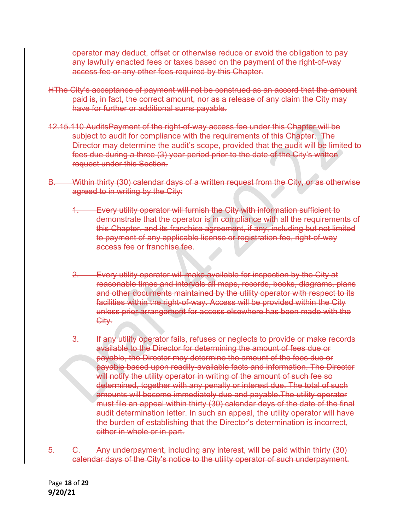operator may deduct, offset or otherwise reduce or avoid the obligation to pay any lawfully enacted fees or taxes based on the payment of the right-of-way access fee or any other fees required by this Chapter.

- HThe City's acceptance of payment will not be construed as an accord that the amount paid is, in fact, the correct amount, nor as a release of any claim the City may have for further or additional sums payable.
- 12.15.110 AuditsPayment of the right-of-way access fee under this Chapter will be subject to audit for compliance with the requirements of this Chapter. The Director may determine the audit's scope, provided that the audit will be limited to fees due during a three (3) year period prior to the date of the City's written request under this Section.
- B. Within thirty (30) calendar days of a written request from the City, or as otherwise agreed to in writing by the City:
	- **Every utility operator will furnish the City with information sufficient to** demonstrate that the operator is in compliance with all the requirements of this Chapter, and its franchise agreement, if any, including but not limited to payment of any applicable license or registration fee, right-of-way access fee or franchise fee.
	- 2. Every utility operator will make available for inspection by the City at reasonable times and intervals all maps, records, books, diagrams, plans and other documents maintained by the utility operator with respect to its facilities within the right-of-way. Access will be provided within the City unless prior arrangement for access elsewhere has been made with the City.
	- If any utility operator fails, refuses or neglects to provide or make records available to the Director for determining the amount of fees due or payable, the Director may determine the amount of the fees due or payable based upon readily-available facts and information. The Director will notify the utility operator in writing of the amount of such fee so determined, together with any penalty or interest due. The total of such amounts will become immediately due and payable.The utility operator must file an appeal within thirty (30) calendar days of the date of the final audit determination letter. In such an appeal, the utility operator will have the burden of establishing that the Director's determination is incorrect, either in whole or in part.

5. C. Any underpayment, including any interest, will be paid within thirty (30) calendar days of the City's notice to the utility operator of such underpayment.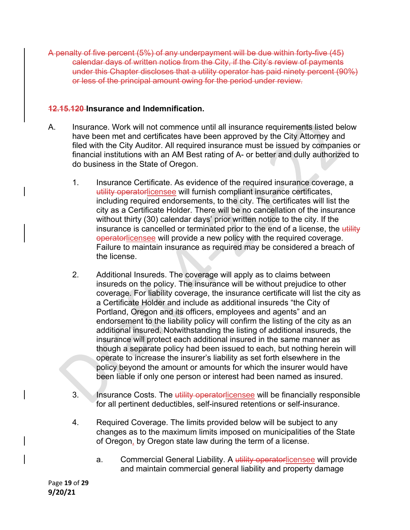A penalty of five percent (5%) of any underpayment will be due within forty-five (45) calendar days of written notice from the City, if the City's review of payments under this Chapter discloses that a utility operator has paid ninety percent (90%) or less of the principal amount owing for the period under review.

#### **12.15.120 Insurance and Indemnification.**

- A. Insurance. Work will not commence until all insurance requirements listed below have been met and certificates have been approved by the City Attorney and filed with the City Auditor. All required insurance must be issued by companies or financial institutions with an AM Best rating of A- or better and dully authorized to do business in the State of Oregon.
	- 1. Insurance Certificate. As evidence of the required insurance coverage, a utility operatorlicensee will furnish compliant insurance certificates, including required endorsements, to the city. The certificates will list the city as a Certificate Holder. There will be no cancellation of the insurance without thirty (30) calendar days' prior written notice to the city. If the insurance is cancelled or terminated prior to the end of a license, the utility operatorlicensee will provide a new policy with the required coverage. Failure to maintain insurance as required may be considered a breach of the license.
	- 2. Additional Insureds. The coverage will apply as to claims between insureds on the policy. The insurance will be without prejudice to other coverage. For liability coverage, the insurance certificate will list the city as a Certificate Holder and include as additional insureds "the City of Portland, Oregon and its officers, employees and agents" and an endorsement to the liability policy will confirm the listing of the city as an additional insured. Notwithstanding the listing of additional insureds, the insurance will protect each additional insured in the same manner as though a separate policy had been issued to each, but nothing herein will operate to increase the insurer's liability as set forth elsewhere in the policy beyond the amount or amounts for which the insurer would have been liable if only one person or interest had been named as insured.
	- 3. Insurance Costs. The utility operatorlicensee will be financially responsible for all pertinent deductibles, self-insured retentions or self-insurance.
	- 4. Required Coverage. The limits provided below will be subject to any changes as to the maximum limits imposed on municipalities of the State of Oregon, by Oregon state law during the term of a license.
		- a. Commercial General Liability. A utility operatorlicensee will provide and maintain commercial general liability and property damage

Page **19** of **29 9/20/21**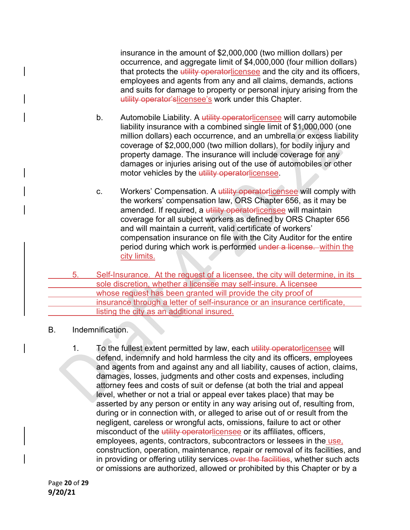insurance in the amount of \$2,000,000 (two million dollars) per occurrence, and aggregate limit of \$4,000,000 (four million dollars) that protects the utility operatorlicensee and the city and its officers, employees and agents from any and all claims, demands, actions and suits for damage to property or personal injury arising from the utility operator'slicensee's work under this Chapter.

- b. Automobile Liability. A utility operatorlicensee will carry automobile liability insurance with a combined single limit of \$1,000,000 (one million dollars) each occurrence, and an umbrella or excess liability coverage of \$2,000,000 (two million dollars), for bodily injury and property damage. The insurance will include coverage for any damages or injuries arising out of the use of automobiles or other motor vehicles by the utility operatorlicensee.
- c. Workers' Compensation. A utility operatorlicensee will comply with the workers' compensation law, ORS Chapter 656, as it may be amended. If required, a utility operatorlicensee will maintain coverage for all subject workers as defined by ORS Chapter 656 and will maintain a current, valid certificate of workers' compensation insurance on file with the City Auditor for the entire period during which work is performed under a license. within the city limits.
- 5. Self-Insurance. At the request of a licensee, the city will determine, in its sole discretion, whether a licensee may self-insure. A licensee whose request has been granted will provide the city proof of insurance through a letter of self-insurance or an insurance certificate, listing the city as an additional insured.
- B. Indemnification.
	- 1. To the fullest extent permitted by law, each utility operatorlicensee will defend, indemnify and hold harmless the city and its officers, employees and agents from and against any and all liability, causes of action, claims, damages, losses, judgments and other costs and expenses, including attorney fees and costs of suit or defense (at both the trial and appeal level, whether or not a trial or appeal ever takes place) that may be asserted by any person or entity in any way arising out of, resulting from, during or in connection with, or alleged to arise out of or result from the negligent, careless or wrongful acts, omissions, failure to act or other misconduct of the utility operatorlicensee or its affiliates, officers, employees, agents, contractors, subcontractors or lessees in the use, construction, operation, maintenance, repair or removal of its facilities, and in providing or offering utility services over the facilities, whether such acts or omissions are authorized, allowed or prohibited by this Chapter or by a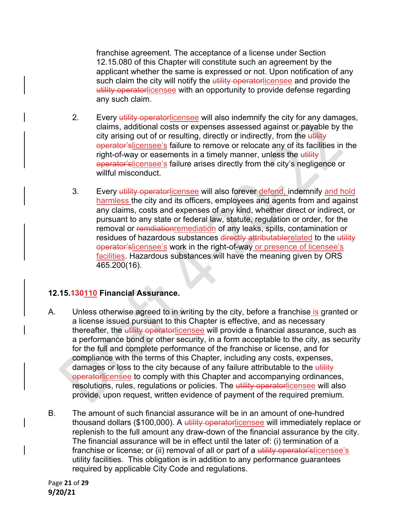franchise agreement. The acceptance of a license under Section 12.15.080 of this Chapter will constitute such an agreement by the applicant whether the same is expressed or not. Upon notification of any such claim the city will notify the utility operatorlicensee and provide the utility operatorlicensee with an opportunity to provide defense regarding any such claim.

- 2. Every utility operatorlicensee will also indemnify the city for any damages, claims, additional costs or expenses assessed against or payable by the city arising out of or resulting, directly or indirectly, from the utility operator'slicensee's failure to remove or relocate any of its facilities in the right-of-way or easements in a timely manner, unless the utility operator'slicensee's failure arises directly from the city's negligence or willful misconduct.
- 3. Every utility operatorlicensee will also forever defend, indemnify and hold harmless the city and its officers, employees and agents from and against any claims, costs and expenses of any kind, whether direct or indirect, or pursuant to any state or federal law, statute, regulation or order, for the removal or remdiationremediation of any leaks, spills, contamination or residues of hazardous substances directly attributablerelated to the utility operator'slicensee's work in the right-of-way or presence of licensee's facilities. Hazardous substances will have the meaning given by ORS 465.200(16).

## **12.15.130110 Financial Assurance.**

- A. Unless otherwise agreed to in writing by the city, before a franchise is granted or a license issued pursuant to this Chapter is effective, and as necessary thereafter, the utility operatorlicensee will provide a financial assurance, such as a performance bond or other security, in a form acceptable to the city, as security for the full and complete performance of the franchise or license, and for compliance with the terms of this Chapter, including any costs, expenses, damages or loss to the city because of any failure attributable to the utility operatorlicensee to comply with this Chapter and accompanying ordinances, resolutions, rules, regulations or policies. The utility operatorlicensee will also provide, upon request, written evidence of payment of the required premium.
- B. The amount of such financial assurance will be in an amount of one-hundred thousand dollars (\$100,000). A utility operatorlicensee will immediately replace or replenish to the full amount any draw-down of the financial assurance by the city. The financial assurance will be in effect until the later of: (i) termination of a franchise or license; or (ii) removal of all or part of a utility operator'slicensee's utility facilities. This obligation is in addition to any performance guarantees required by applicable City Code and regulations.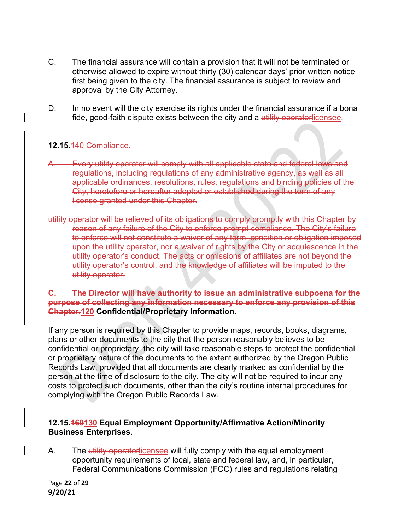- C. The financial assurance will contain a provision that it will not be terminated or otherwise allowed to expire without thirty (30) calendar days' prior written notice first being given to the city. The financial assurance is subject to review and approval by the City Attorney.
- D. In no event will the city exercise its rights under the financial assurance if a bona fide, good-faith dispute exists between the city and a utility operatorlicensee.

#### **12.15.**140 Compliance.

- A. Every utility operator will comply with all applicable state and federal laws and regulations, including regulations of any administrative agency, as well as all applicable ordinances, resolutions, rules, regulations and binding policies of the City, heretofore or hereafter adopted or established during the term of any license granted under this Chapter.
- utility operator will be relieved of its obligations to comply promptly with this Chapter by reason of any failure of the City to enforce prompt compliance. The City's failure to enforce will not constitute a waiver of any term, condition or obligation imposed upon the utility operator, nor a waiver of rights by the City or acquiescence in the utility operator's conduct. The acts or omissions of affiliates are not beyond the utility operator's control, and the knowledge of affiliates will be imputed to the utility operator.

#### **C. The Director will have authority to issue an administrative subpoena for the purpose of collecting any information necessary to enforce any provision of this Chapter.120 Confidential/Proprietary Information.**

If any person is required by this Chapter to provide maps, records, books, diagrams, plans or other documents to the city that the person reasonably believes to be confidential or proprietary, the city will take reasonable steps to protect the confidential or proprietary nature of the documents to the extent authorized by the Oregon Public Records Law, provided that all documents are clearly marked as confidential by the person at the time of disclosure to the city. The city will not be required to incur any costs to protect such documents, other than the city's routine internal procedures for complying with the Oregon Public Records Law.

#### **12.15.160130 Equal Employment Opportunity/Affirmative Action/Minority Business Enterprises.**

A. The utility operatorlicensee will fully comply with the equal employment opportunity requirements of local, state and federal law, and, in particular, Federal Communications Commission (FCC) rules and regulations relating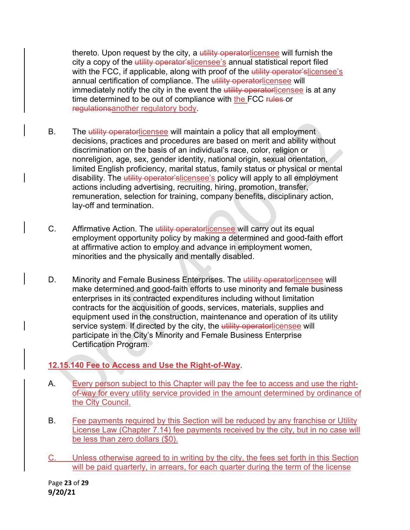thereto. Upon request by the city, a utility operatorlicensee will furnish the city a copy of the utility operator'slicensee's annual statistical report filed with the FCC, if applicable, along with proof of the utility operator'slicensee's annual certification of compliance. The utility operatorlicensee will immediately notify the city in the event the utility operatorlicensee is at any time determined to be out of compliance with the FCC rules or regulationsanother regulatory body.

- B. The utility operatorlicensee will maintain a policy that all employment decisions, practices and procedures are based on merit and ability without discrimination on the basis of an individual's race, color, religion or nonreligion, age, sex, gender identity, national origin, sexual orientation, limited English proficiency, marital status, family status or physical or mental disability. The utility operator'slicensee's policy will apply to all employment actions including advertising, recruiting, hiring, promotion, transfer, remuneration, selection for training, company benefits, disciplinary action, lay-off and termination.
- C. Affirmative Action. The utility operatorlicensee will carry out its equal employment opportunity policy by making a determined and good-faith effort at affirmative action to employ and advance in employment women, minorities and the physically and mentally disabled.
- D. Minority and Female Business Enterprises. The utility operatorlicensee will make determined and good-faith efforts to use minority and female business enterprises in its contracted expenditures including without limitation contracts for the acquisition of goods, services, materials, supplies and equipment used in the construction, maintenance and operation of its utility service system. If directed by the city, the utility operatorlicensee will participate in the City's Minority and Female Business Enterprise Certification Program.

# **12.15.140 Fee to Access and Use the Right-of-Way**.

- A. Every person subject to this Chapter will pay the fee to access and use the rightof-way for every utility service provided in the amount determined by ordinance of the City Council.
- B. Fee payments required by this Section will be reduced by any franchise or Utility License Law (Chapter 7.14) fee payments received by the city, but in no case will be less than zero dollars (\$0).
- C. Unless otherwise agreed to in writing by the city, the fees set forth in this Section will be paid quarterly, in arrears, for each quarter during the term of the license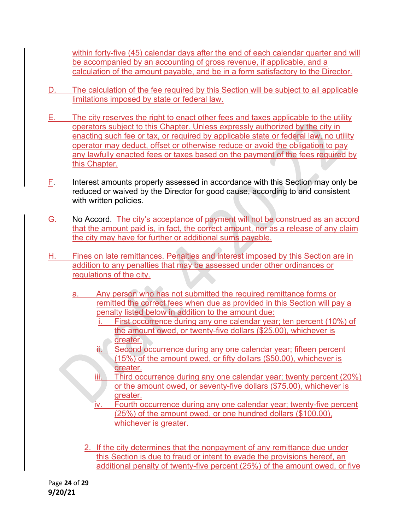within forty-five (45) calendar days after the end of each calendar quarter and will be accompanied by an accounting of gross revenue, if applicable, and a calculation of the amount payable, and be in a form satisfactory to the Director.

- D. The calculation of the fee required by this Section will be subject to all applicable limitations imposed by state or federal law.
- E. The city reserves the right to enact other fees and taxes applicable to the utility operators subject to this Chapter. Unless expressly authorized by the city in enacting such fee or tax, or required by applicable state or federal law, no utility operator may deduct, offset or otherwise reduce or avoid the obligation to pay any lawfully enacted fees or taxes based on the payment of the fees required by this Chapter.
- $E$ . Interest amounts properly assessed in accordance with this Section may only be reduced or waived by the Director for good cause, according to and consistent with written policies.
- G. No Accord. The city's acceptance of payment will not be construed as an accord that the amount paid is, in fact, the correct amount, nor as a release of any claim the city may have for further or additional sums payable.
- H. Fines on late remittances. Penalties and interest imposed by this Section are in addition to any penalties that may be assessed under other ordinances or regulations of the city.
	- a. Any person who has not submitted the required remittance forms or remitted the correct fees when due as provided in this Section will pay a penalty listed below in addition to the amount due:
		- First occurrence during any one calendar year; ten percent (10%) of the amount owed, or twenty-five dollars (\$25.00), whichever is greater.
		- Second occurrence during any one calendar year; fifteen percent (15%) of the amount owed, or fifty dollars (\$50.00), whichever is greater.
		- iii. Third occurrence during any one calendar year; twenty percent (20%) or the amount owed, or seventy-five dollars (\$75.00), whichever is greater.
		- iv. Fourth occurrence during any one calendar year; twenty-five percent (25%) of the amount owed, or one hundred dollars (\$100.00), whichever is greater.
		- 2. If the city determines that the nonpayment of any remittance due under this Section is due to fraud or intent to evade the provisions hereof, an additional penalty of twenty-five percent (25%) of the amount owed, or five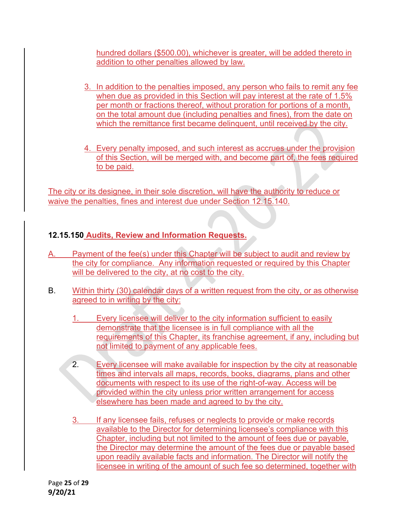hundred dollars (\$500.00), whichever is greater, will be added thereto in addition to other penalties allowed by law.

- 3. In addition to the penalties imposed, any person who fails to remit any fee when due as provided in this Section will pay interest at the rate of 1.5% per month or fractions thereof, without proration for portions of a month, on the total amount due (including penalties and fines), from the date on which the remittance first became delinquent, until received by the city.
- 4. Every penalty imposed, and such interest as accrues under the provision of this Section, will be merged with, and become part of, the fees required to be paid.

The city or its designee, in their sole discretion, will have the authority to reduce or waive the penalties, fines and interest due under Section 12.15.140.

# **12.15.150 Audits, Review and Information Requests.**

- Payment of the fee(s) under this Chapter will be subject to audit and review by the city for compliance. Any information requested or required by this Chapter will be delivered to the city, at no cost to the city.
- B. Within thirty (30) calendar days of a written request from the city, or as otherwise agreed to in writing by the city:
	- 1. Every licensee will deliver to the city information sufficient to easily demonstrate that the licensee is in full compliance with all the requirements of this Chapter, its franchise agreement, if any, including but not limited to payment of any applicable fees.
	- 2. Every licensee will make available for inspection by the city at reasonable times and intervals all maps, records, books, diagrams, plans and other documents with respect to its use of the right-of-way. Access will be provided within the city unless prior written arrangement for access elsewhere has been made and agreed to by the city.
	- 3. If any licensee fails, refuses or neglects to provide or make records available to the Director for determining licensee's compliance with this Chapter, including but not limited to the amount of fees due or payable, the Director may determine the amount of the fees due or payable based upon readily available facts and information. The Director will notify the licensee in writing of the amount of such fee so determined, together with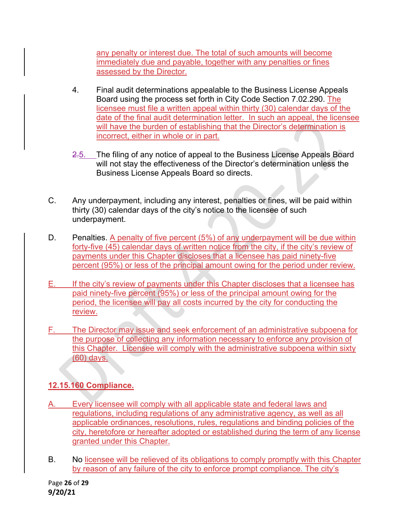any penalty or interest due. The total of such amounts will become immediately due and payable, together with any penalties or fines assessed by the Director.

- 4. Final audit determinations appealable to the Business License Appeals Board using the process set forth in City Code Section 7.02.290. The licensee must file a written appeal within thirty (30) calendar days of the date of the final audit determination letter. In such an appeal, the licensee will have the burden of establishing that the Director's determination is incorrect, either in whole or in part.
- 2.5. The filing of any notice of appeal to the Business License Appeals Board will not stay the effectiveness of the Director's determination unless the Business License Appeals Board so directs.
- C. Any underpayment, including any interest, penalties or fines, will be paid within thirty (30) calendar days of the city's notice to the licensee of such underpayment.
- D. Penalties. A penalty of five percent (5%) of any underpayment will be due within forty-five (45) calendar days of written notice from the city, if the city's review of payments under this Chapter discloses that a licensee has paid ninety-five percent (95%) or less of the principal amount owing for the period under review.
- E. If the city's review of payments under this Chapter discloses that a licensee has paid ninety-five percent (95%) or less of the principal amount owing for the period, the licensee will pay all costs incurred by the city for conducting the review.
- F. The Director may issue and seek enforcement of an administrative subpoena for the purpose of collecting any information necessary to enforce any provision of this Chapter. Licensee will comply with the administrative subpoena within sixty (60) days.

# **12.15.160 Compliance.**

- A. Every licensee will comply with all applicable state and federal laws and regulations, including regulations of any administrative agency, as well as all applicable ordinances, resolutions, rules, regulations and binding policies of the city, heretofore or hereafter adopted or established during the term of any license granted under this Chapter.
- B. No licensee will be relieved of its obligations to comply promptly with this Chapter by reason of any failure of the city to enforce prompt compliance. The city's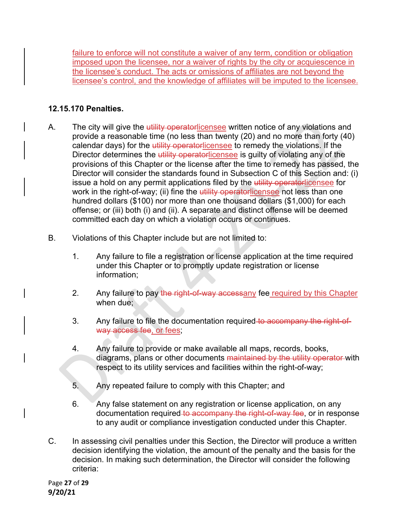failure to enforce will not constitute a waiver of any term, condition or obligation imposed upon the licensee, nor a waiver of rights by the city or acquiescence in the licensee's conduct. The acts or omissions of affiliates are not beyond the licensee's control, and the knowledge of affiliates will be imputed to the licensee.

# **12.15.170 Penalties.**

- A. The city will give the utility operatorlicensee written notice of any violations and provide a reasonable time (no less than twenty (20) and no more than forty (40) calendar days) for the utility operatorlicensee to remedy the violations. If the Director determines the utility operatorlicensee is guilty of violating any of the provisions of this Chapter or the license after the time to remedy has passed, the Director will consider the standards found in Subsection C of this Section and: (i) issue a hold on any permit applications filed by the utility operatorlicensee for work in the right-of-way; (ii) fine the utility operatorlicensee not less than one hundred dollars (\$100) nor more than one thousand dollars (\$1,000) for each offense; or (iii) both (i) and (ii). A separate and distinct offense will be deemed committed each day on which a violation occurs or continues.
- B. Violations of this Chapter include but are not limited to:
	- 1. Any failure to file a registration or license application at the time required under this Chapter or to promptly update registration or license information;
	- 2. Any failure to pay the right-of-way accessany fee required by this Chapter when due;
	- 3. Any failure to file the documentation required to accompany the right-ofway access fee, or fees;
	- 4. Any failure to provide or make available all maps, records, books, diagrams, plans or other documents maintained by the utility operator with respect to its utility services and facilities within the right-of-way;
	- 5. Any repeated failure to comply with this Chapter; and
	- 6. Any false statement on any registration or license application, on any documentation required to accompany the right-of-way fee, or in response to any audit or compliance investigation conducted under this Chapter.
- C. In assessing civil penalties under this Section, the Director will produce a written decision identifying the violation, the amount of the penalty and the basis for the decision. In making such determination, the Director will consider the following criteria: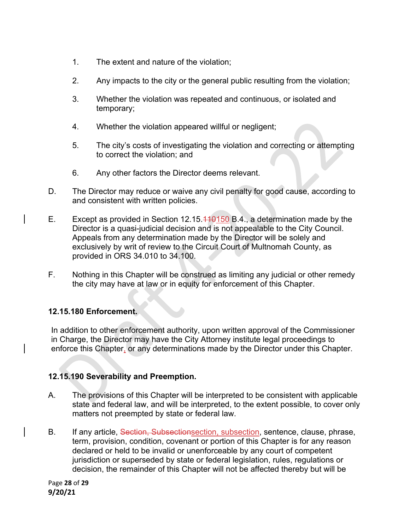- 1. The extent and nature of the violation;
- 2. Any impacts to the city or the general public resulting from the violation;
- 3. Whether the violation was repeated and continuous, or isolated and temporary;
- 4. Whether the violation appeared willful or negligent;
- 5. The city's costs of investigating the violation and correcting or attempting to correct the violation; and
- 6. Any other factors the Director deems relevant.
- D. The Director may reduce or waive any civil penalty for good cause, according to and consistent with written policies.
- E. Except as provided in Section 12.15.110150 B.4., a determination made by the Director is a quasi-judicial decision and is not appealable to the City Council. Appeals from any determination made by the Director will be solely and exclusively by writ of review to the Circuit Court of Multnomah County, as provided in ORS 34.010 to 34.100.
- F. Nothing in this Chapter will be construed as limiting any judicial or other remedy the city may have at law or in equity for enforcement of this Chapter.

## **12.15.180 Enforcement.**

In addition to other enforcement authority, upon written approval of the Commissioner in Charge, the Director may have the City Attorney institute legal proceedings to enforce this Chapter, or any determinations made by the Director under this Chapter.

## **12.15.190 Severability and Preemption.**

- A. The provisions of this Chapter will be interpreted to be consistent with applicable state and federal law, and will be interpreted, to the extent possible, to cover only matters not preempted by state or federal law.
- B. If any article, Section, Subsectionsection, subsection, sentence, clause, phrase, term, provision, condition, covenant or portion of this Chapter is for any reason declared or held to be invalid or unenforceable by any court of competent jurisdiction or superseded by state or federal legislation, rules, regulations or decision, the remainder of this Chapter will not be affected thereby but will be